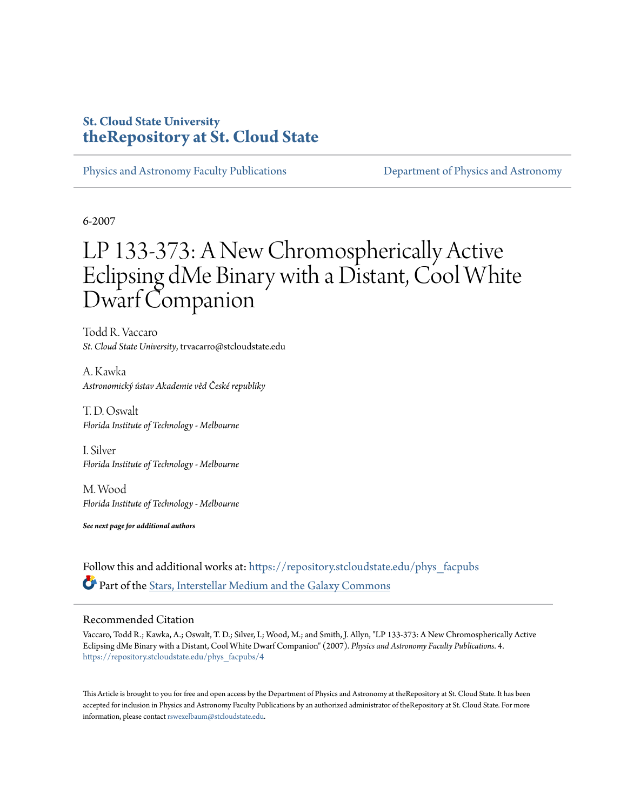# **St. Cloud State University [theRepository at St. Cloud State](https://repository.stcloudstate.edu?utm_source=repository.stcloudstate.edu%2Fphys_facpubs%2F4&utm_medium=PDF&utm_campaign=PDFCoverPages)**

[Physics and Astronomy Faculty Publications](https://repository.stcloudstate.edu/phys_facpubs?utm_source=repository.stcloudstate.edu%2Fphys_facpubs%2F4&utm_medium=PDF&utm_campaign=PDFCoverPages) [Department of Physics and Astronomy](https://repository.stcloudstate.edu/phys?utm_source=repository.stcloudstate.edu%2Fphys_facpubs%2F4&utm_medium=PDF&utm_campaign=PDFCoverPages)

6-2007

# LP 133-373: A New Chromospherically Active Eclipsing dMe Binary with a Distant, Cool White Dwarf Companion

Todd R. Vaccaro *St. Cloud State University*, trvacarro@stcloudstate.edu

A. Kawka *Astronomický ústav Akademie věd České republiky*

T. D. Oswalt *Florida Institute of Technology - Melbourne*

I. Silver *Florida Institute of Technology - Melbourne*

M. Wood *Florida Institute of Technology - Melbourne*

*See next page for additional authors*

Follow this and additional works at: [https://repository.stcloudstate.edu/phys\\_facpubs](https://repository.stcloudstate.edu/phys_facpubs?utm_source=repository.stcloudstate.edu%2Fphys_facpubs%2F4&utm_medium=PDF&utm_campaign=PDFCoverPages) Part of the [Stars, Interstellar Medium and the Galaxy Commons](http://network.bepress.com/hgg/discipline/127?utm_source=repository.stcloudstate.edu%2Fphys_facpubs%2F4&utm_medium=PDF&utm_campaign=PDFCoverPages)

# Recommended Citation

Vaccaro, Todd R.; Kawka, A.; Oswalt, T. D.; Silver, I.; Wood, M.; and Smith, J. Allyn, "LP 133-373: A New Chromospherically Active Eclipsing dMe Binary with a Distant, Cool White Dwarf Companion" (2007). *Physics and Astronomy Faculty Publications*. 4. [https://repository.stcloudstate.edu/phys\\_facpubs/4](https://repository.stcloudstate.edu/phys_facpubs/4?utm_source=repository.stcloudstate.edu%2Fphys_facpubs%2F4&utm_medium=PDF&utm_campaign=PDFCoverPages)

This Article is brought to you for free and open access by the Department of Physics and Astronomy at theRepository at St. Cloud State. It has been accepted for inclusion in Physics and Astronomy Faculty Publications by an authorized administrator of theRepository at St. Cloud State. For more information, please contact [rswexelbaum@stcloudstate.edu.](mailto:rswexelbaum@stcloudstate.edu)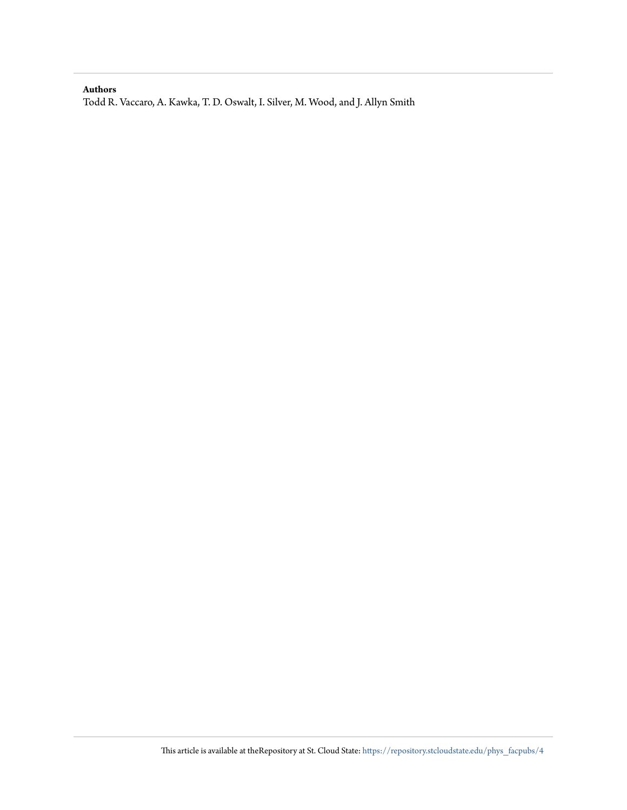# **Authors**

Todd R. Vaccaro, A. Kawka, T. D. Oswalt, I. Silver, M. Wood, and J. Allyn Smith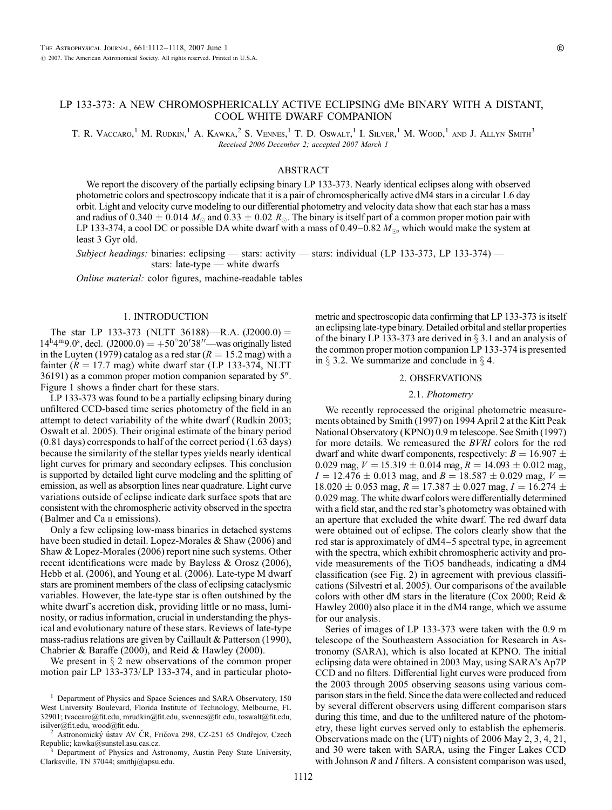# LP 133-373: A NEW CHROMOSPHERICALLY ACTIVE ECLIPSING dMe BINARY WITH A DISTANT, COOL WHITE DWARF COMPANION

T. R. VACCARO,<sup>1</sup> M. RUDKIN,<sup>1</sup> A. KAWKA,<sup>2</sup> S. VENNES,<sup>1</sup> T. D. Oswalt,<sup>1</sup> I. Silver,<sup>1</sup> M. Wood,<sup>1</sup> and J. Allyn Smith<sup>3</sup> Received 2006 December 2; accepted 2007 March 1

# ABSTRACT

We report the discovery of the partially eclipsing binary LP 133-373. Nearly identical eclipses along with observed photometric colors and spectroscopy indicate that it is a pair of chromospherically active dM4 stars in a circular 1.6 day orbit. Light and velocity curve modeling to our differential photometry and velocity data show that each star has a mass and radius of 0.340  $\pm$  0.014  $M_\odot$  and 0.33  $\pm$  0.02  $R_\odot$ . The binary is itself part of a common proper motion pair with LP 133-374, a cool DC or possible DA white dwarf with a mass of 0.49–0.82  $M_{\odot}$ , which would make the system at least 3 Gyr old.

Subject headings: binaries: eclipsing — stars: activity — stars: individual (LP 133-373, LP 133-374) stars: late-type — white dwarfs

Online material: color figures, machine-readable tables

# 1. INTRODUCTION

The star LP 133-373 (NLTT 36188)—R.A.  $(J2000.0) =$  $14^{\text{h}}4^{\text{m}}9.0^{\text{s}}$ , decl.  $(J2000.0) = +50^{\circ}20'38''$  was originally listed in the Luyten (1979) catalog as a red star ( $R = 15.2$  mag) with a fainter ( $R = 17.7$  mag) white dwarf star (LP 133-374, NLTT  $36191$ ) as a common proper motion companion separated by  $5$ ". Figure 1 shows a finder chart for these stars.

LP 133-373 was found to be a partially eclipsing binary during unfiltered CCD-based time series photometry of the field in an attempt to detect variability of the white dwarf (Rudkin 2003; Oswalt et al. 2005). Their original estimate of the binary period (0.81 days) corresponds to half of the correct period (1.63 days) because the similarity of the stellar types yields nearly identical light curves for primary and secondary eclipses. This conclusion is supported by detailed light curve modeling and the splitting of emission, as well as absorption lines near quadrature. Light curve variations outside of eclipse indicate dark surface spots that are consistent with the chromospheric activity observed in the spectra (Balmer and Ca ii emissions).

Only a few eclipsing low-mass binaries in detached systems have been studied in detail. Lopez-Morales & Shaw (2006) and Shaw & Lopez-Morales (2006) report nine such systems. Other recent identifications were made by Bayless & Orosz (2006), Hebb et al. (2006), and Young et al. (2006). Late-type M dwarf stars are prominent members of the class of eclipsing cataclysmic variables. However, the late-type star is often outshined by the white dwarf's accretion disk, providing little or no mass, luminosity, or radius information, crucial in understanding the physical and evolutionary nature of these stars. Reviews of late-type mass-radius relations are given by Caillault & Patterson (1990), Chabrier & Baraffe (2000), and Reid & Hawley (2000).

We present in  $\S$  2 new observations of the common proper motion pair LP 133-373/LP 133-374, and in particular photo-

Clarksville, TN 37044; smithj@apsu.edu.

metric and spectroscopic data confirming that LP 133-373 is itself an eclipsing late-type binary. Detailed orbital and stellar properties of the binary LP 133-373 are derived in  $\S$  3.1 and an analysis of the common proper motion companion LP 133-374 is presented in  $\S$  3.2. We summarize and conclude in  $\S$  4.

# 2. OBSERVATIONS

### 2.1. Photometry

We recently reprocessed the original photometric measurements obtained by Smith (1997) on 1994 April 2 at the Kitt Peak National Observatory (KPNO) 0.9 m telescope. See Smith (1997) for more details. We remeasured the BVRI colors for the red dwarf and white dwarf components, respectively:  $B = 16.907 \pm 16.907$ 0.029 mag,  $V = 15.319 \pm 0.014$  mag,  $R = 14.093 \pm 0.012$  mag,  $I = 12.476 \pm 0.013$  mag, and  $B = 18.587 \pm 0.029$  mag,  $V =$  $18.020 \pm 0.053$  mag,  $R = 17.387 \pm 0.027$  mag,  $I = 16.274 \pm 0.053$ 0:029 mag. The white dwarf colors were differentially determined with a field star, and the red star's photometry was obtained with an aperture that excluded the white dwarf. The red dwarf data were obtained out of eclipse. The colors clearly show that the red star is approximately of dM4-5 spectral type, in agreement with the spectra, which exhibit chromospheric activity and provide measurements of the TiO5 bandheads, indicating a dM4 classification (see Fig. 2) in agreement with previous classifications (Silvestri et al. 2005). Our comparisons of the available colors with other dM stars in the literature (Cox 2000; Reid & Hawley 2000) also place it in the dM4 range, which we assume for our analysis.

Series of images of LP 133-373 were taken with the 0.9 m telescope of the Southeastern Association for Research in Astronomy (SARA), which is also located at KPNO. The initial eclipsing data were obtained in 2003 May, using SARA's Ap7P CCD and no filters. Differential light curves were produced from the 2003 through 2005 observing seasons using various comparison stars in the field. Since the data were collected and reduced by several different observers using different comparison stars during this time, and due to the unfiltered nature of the photometry, these light curves served only to establish the ephemeris. Observations made on the (UT) nights of 2006 May 2, 3, 4, 21, and 30 were taken with SARA, using the Finger Lakes CCD with Johnson  $R$  and  $I$  filters. A consistent comparison was used,

<sup>&</sup>lt;sup>1</sup> Department of Physics and Space Sciences and SARA Observatory, 150 West University Boulevard, Florida Institute of Technology, Melbourne, FL 32901; tvaccaro@fit.edu, mrudkin@fit.edu, svennes@fit.edu, toswalt@fit.edu, isilver@fit.edu, wood@fit.edu.

Astronomický ústav AV ČR, Fričova 298, CZ-251 65 Ondřejov, Czech Republic; kawka@sunstel.asu.cas.cz. <sup>3</sup> Department of Physics and Astronomy, Austin Peay State University,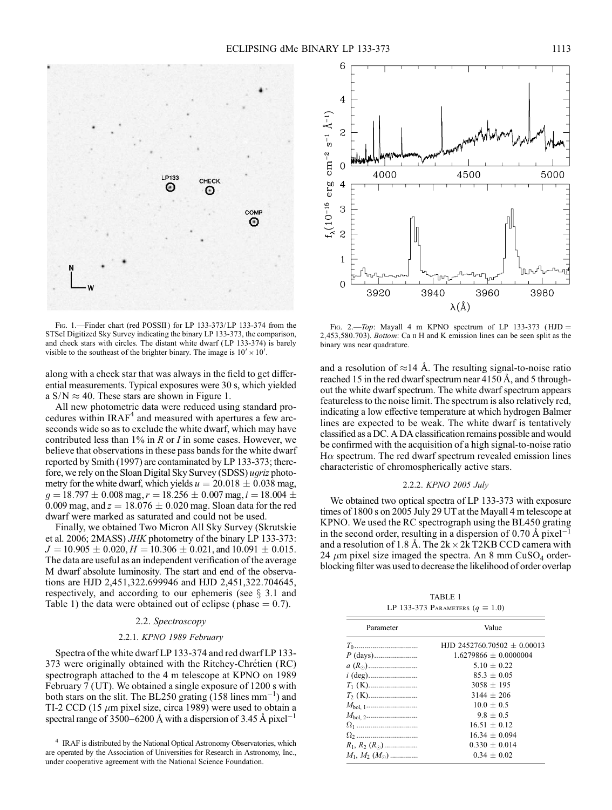

FIG. 1.—Finder chart (red POSSII) for LP 133-373/LP 133-374 from the STScI Digitized Sky Survey indicating the binary LP 133-373, the comparison, and check stars with circles. The distant white dwarf ( LP 133-374) is barely visible to the southeast of the brighter binary. The image is  $10' \times 10'$ .

along with a check star that was always in the field to get differential measurements. Typical exposures were 30 s, which yielded a  $S/N \approx 40$ . These stars are shown in Figure 1.

All new photometric data were reduced using standard procedures within IRAF<sup>4</sup> and measured with apertures a few arcseconds wide so as to exclude the white dwarf, which may have contributed less than  $1\%$  in R or I in some cases. However, we believe that observations in these pass bands for the white dwarf reported by Smith (1997) are contaminated by LP 133-373; therefore, we rely on the Sloan Digital Sky Survey (SDSS) ugriz photometry for the white dwarf, which yields  $u = 20.018 \pm 0.038$  mag,  $g = 18.797 \pm 0.008$  mag,  $r = 18.256 \pm 0.007$  mag,  $i = 18.004 \pm 0.004$ 0.009 mag, and  $z = 18.076 \pm 0.020$  mag. Sloan data for the red dwarf were marked as saturated and could not be used.

Finally, we obtained Two Micron All Sky Survey (Skrutskie et al. 2006; 2MASS) JHK photometry of the binary LP 133-373:  $J = 10.905 \pm 0.020, H = 10.306 \pm 0.021,$  and  $10.091 \pm 0.015$ . The data are useful as an independent verification of the average M dwarf absolute luminosity. The start and end of the observations are HJD 2,451,322.699946 and HJD 2,451,322.704645, respectively, and according to our ephemeris (see  $\S$  3.1 and Table 1) the data were obtained out of eclipse (phase  $= 0.7$ ).

# 2.2. Spectroscopy

#### 2.2.1. KPNO 1989 February

Spectra of the white dwarf LP 133-374 and red dwarf LP 133- 373 were originally obtained with the Ritchey-Chrétien (RC) spectrograph attached to the 4 m telescope at KPNO on 1989 February 7 (UT). We obtained a single exposure of 1200 s with both stars on the slit. The BL250 grating  $(158 \text{ lines mm}^{-1})$  and TI-2 CCD (15  $\mu$ m pixel size, circa 1989) were used to obtain a spectral range of 3500–6200 Å with a dispersion of 3.45 Å pixel<sup>-1</sup>



FIG. 2.—Top: Mayall 4 m KPNO spectrum of LP 133-373 ( $HJD =$ 2,453,580.703). Bottom: Ca  $\scriptstyle\rm II$  H and K emission lines can be seen split as the binary was near quadrature.

and a resolution of  $\approx$ 14 Å. The resulting signal-to-noise ratio reached 15 in the red dwarf spectrum near 4150  $\AA$ , and 5 throughout the white dwarf spectrum. The white dwarf spectrum appears featureless to the noise limit. The spectrum is also relatively red, indicating a low effective temperature at which hydrogen Balmer lines are expected to be weak. The white dwarf is tentatively classified as a DC. A DA classification remains possible and would be confirmed with the acquisition of a high signal-to-noise ratio  $H\alpha$  spectrum. The red dwarf spectrum revealed emission lines characteristic of chromospherically active stars.

# 2.2.2. KPNO 2005 July

We obtained two optical spectra of LP 133-373 with exposure times of 1800 s on 2005 July 29 UT at the Mayall 4 m telescope at KPNO. We used the RC spectrograph using the BL450 grating in the second order, resulting in a dispersion of  $0.70 \text{ Å pixel}^{-1}$ and a resolution of 1.8 Å. The  $2k \times 2k$  T2KB CCD camera with 24  $\mu$ m pixel size imaged the spectra. An 8 mm CuSO<sub>4</sub> orderblocking filter was used to decrease the likelihood of order overlap

TABLE 1 LP 133-373 PARAMETERS  $(q \equiv 1.0)$ 

| Parameter               | Value                         |  |
|-------------------------|-------------------------------|--|
|                         | HJD 2452760.70502 $+$ 0.00013 |  |
|                         | $1.6279866 + 0.0000004$       |  |
|                         | $510 + 022$                   |  |
|                         | $85.3 + 0.05$                 |  |
|                         | $3058 \pm 195$                |  |
|                         | $3144 + 206$                  |  |
|                         | $10.0 + 0.5$                  |  |
|                         | $9.8 + 0.5$                   |  |
|                         | $16.51 + 0.12$                |  |
|                         | $16.34 + 0.094$               |  |
| $R_1, R_2 (R_{\odot})$  | $0.330 + 0.014$               |  |
| $M_1, M_2, (M_{\odot})$ | $0.34 + 0.02$                 |  |

<sup>4</sup> IRAF is distributed by the National Optical Astronomy Observatories, which are operated by the Association of Universities for Research in Astronomy, Inc., under cooperative agreement with the National Science Foundation.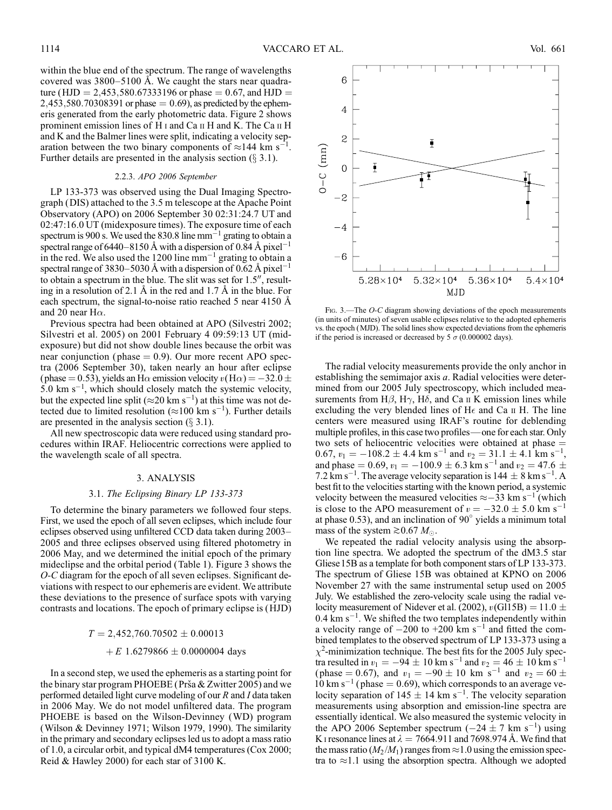within the blue end of the spectrum. The range of wavelengths covered was  $3800 - 5100$  Å. We caught the stars near quadrature (HJD = 2,453,580.67333196 or phase = 0.67, and HJD =  $2,453,580.70308391$  or phase  $= 0.69$ ), as predicted by the ephemeris generated from the early photometric data. Figure 2 shows prominent emission lines of H i and Ca ii H and K. The Ca ii H and K and the Balmer lines were split, indicating a velocity separation between the two binary components of  $\approx$ 144 km s<sup>-1</sup>. Further details are presented in the analysis section  $(\S 3.1)$ .

# 2.2.3. APO 2006 September

LP 133-373 was observed using the Dual Imaging Spectrograph (DIS) attached to the 3.5 m telescope at the Apache Point Observatory (APO) on 2006 September 30 02:31:24.7 UT and 02:47:16.0 UT (midexposure times). The exposure time of each spectrum is 900 s. We used the 830.8 line  $mm^{-1}$  grating to obtain a spectral range of 6440–8150 Å with a dispersion of 0.84 Å pixel<sup>-1</sup> in the red. We also used the 1200 line  $mm^{-1}$  grating to obtain a spectral range of 3830–5030 Å with a dispersion of 0.62 Å pixel<sup>-1</sup> to obtain a spectrum in the blue. The slit was set for  $1.5$ ", resulting in a resolution of 2.1  $\AA$  in the red and 1.7  $\AA$  in the blue. For each spectrum, the signal-to-noise ratio reached 5 near 4150  $\AA$ and 20 near H $\alpha$ .

Previous spectra had been obtained at APO (Silvestri 2002; Silvestri et al. 2005) on 2001 February 4 09:59:13 UT (midexposure) but did not show double lines because the orbit was near conjunction ( $phase = 0.9$ ). Our more recent APO spectra (2006 September 30), taken nearly an hour after eclipse (phase = 0.53), yields an H $\alpha$  emission velocity  $v(\text{H}\alpha) = -32.0 \pm$  $5.0 \text{ km s}^{-1}$ , which should closely match the systemic velocity, but the expected line split ( $\approx$ 20 km s<sup>-1</sup>) at this time was not detected due to limited resolution ( $\approx$ 100 km s<sup>-1</sup>). Further details are presented in the analysis section  $(\S 3.1)$ .

All new spectroscopic data were reduced using standard procedures within IRAF. Heliocentric corrections were applied to the wavelength scale of all spectra.

#### 3. ANALYSIS

#### 3.1. The Eclipsing Binary LP 133-373

To determine the binary parameters we followed four steps. First, we used the epoch of all seven eclipses, which include four eclipses observed using unfiltered CCD data taken during 2003-2005 and three eclipses observed using filtered photometry in 2006 May, and we determined the initial epoch of the primary mideclipse and the orbital period (Table 1). Figure 3 shows the O-C diagram for the epoch of all seven eclipses. Significant deviations with respect to our ephemeris are evident. We attribute these deviations to the presence of surface spots with varying contrasts and locations. The epoch of primary eclipse is (HJD)

# $T = 2,452,760.70502 \pm 0.00013$

# $+ E 1.6279866 \pm 0.0000004$  days

In a second step, we used the ephemeris as a starting point for the binary star program PHOEBE (Prša  $& 2w$  Zwitter 2005) and we performed detailed light curve modeling of our R and I data taken in 2006 May. We do not model unfiltered data. The program PHOEBE is based on the Wilson-Devinney (WD) program (Wilson & Devinney 1971; Wilson 1979, 1990). The similarity in the primary and secondary eclipses led us to adopt a mass ratio of 1.0, a circular orbit, and typical dM4 temperatures (Cox 2000; Reid & Hawley 2000) for each star of 3100 K.



FIG. 3.—The O-C diagram showing deviations of the epoch measurements (in units of minutes) of seven usable eclipses relative to the adopted ephemeris vs. the epoch (MJD). The solid lines show expected deviations from the ephemeris if the period is increased or decreased by 5  $\sigma$  (0.000002 days).

The radial velocity measurements provide the only anchor in establishing the semimajor axis a. Radial velocities were determined from our 2005 July spectroscopy, which included measurements from H $\beta$ , H $\gamma$ , H $\delta$ , and Ca  $\pi$  K emission lines while excluding the very blended lines of H $\epsilon$  and Ca II H. The line centers were measured using IRAF's routine for deblending multiple profiles, in this case two profiles—one for each star. Only two sets of heliocentric velocities were obtained at phase  $=$ 0.67,  $v_1 = -108.2 \pm 4.4$  km s<sup>-1</sup> and  $v_2 = 31.1 \pm 4.1$  km s<sup>-1</sup>, and phase = 0.69,  $v_1 = -100.9 \pm 6.3$  km s<sup>-1</sup> and  $v_2 = 47.6 \pm 1.6$ 7.2  $\rm \AA{km}\,\rm s^{-1}$ . The average velocity separation is 144  $\pm$  8 km s<sup>-1</sup>. A best fit to the velocities starting with the known period, a systemic velocity between the measured velocities  $\approx -33$  km s<sup>-1</sup> (which is close to the APO measurement of  $v = -32.0 \pm 5.0$  km s<sup>-1</sup> at phase 0.53), and an inclination of  $90^\circ$  yields a minimum total mass of the system  $\gtrsim 0.67 M_{\odot}$ .

We repeated the radial velocity analysis using the absorption line spectra. We adopted the spectrum of the dM3.5 star Gliese 15B as a template for both component stars of LP 133-373. The spectrum of Gliese 15B was obtained at KPNO on 2006 November 27 with the same instrumental setup used on 2005 July. We established the zero-velocity scale using the radial velocity measurement of Nidever et al. (2002),  $v(G115B) = 11.0 \pm 10$  $0.4 \text{ km s}^{-1}$ . We shifted the two templates independently within a velocity range of  $-200$  to  $+200$  km s<sup>-1</sup> and fitted the combined templates to the observed spectrum of LP 133-373 using a  $\chi^2$ -minimization technique. The best fits for the 2005 July spectra resulted in  $v_1 = -94 \pm 10$  km s<sup>-1</sup> and  $v_2 = 46 \pm 10$  km s<sup>-1</sup> (phase = 0.67), and  $v_1 = -90 \pm 10$  km s<sup>-1</sup> and  $v_2 = 60 \pm 10$  $10 \text{ km s}^{-1}$  (phase = 0.69), which corresponds to an average velocity separation of  $145 \pm 14$  km s<sup>-1</sup>. The velocity separation measurements using absorption and emission-line spectra are essentially identical. We also measured the systemic velocity in the APO 2006 September spectrum  $(-24 \pm 7 \text{ km s}^{-1})$  using K I resonance lines at  $\lambda = 7664.911$  and 7698.974 Å. We find that the mass ratio ( $M_2/M_1$ ) ranges from  $\approx 1.0$  using the emission spectra to  $\approx$ 1.1 using the absorption spectra. Although we adopted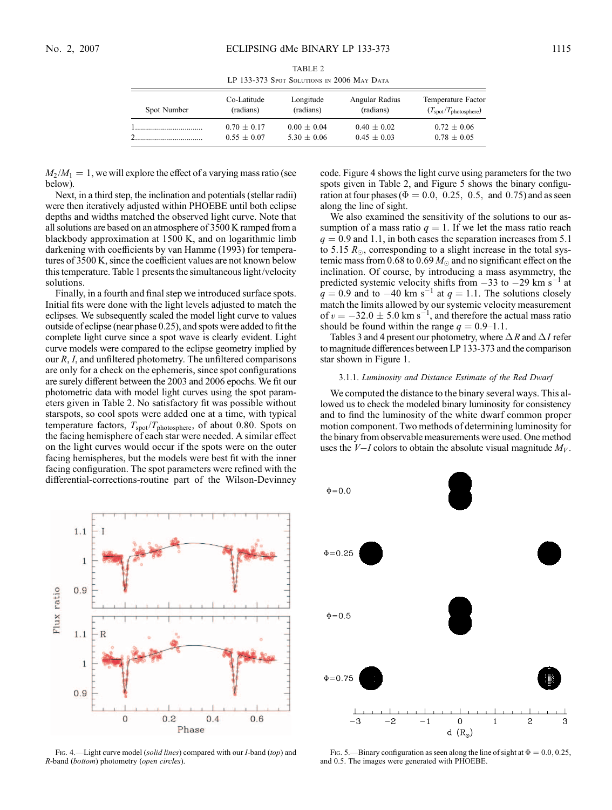| TABLE 2                                    |  |  |  |  |  |  |
|--------------------------------------------|--|--|--|--|--|--|
| LP 133-373 Spot Solutions in 2006 May Data |  |  |  |  |  |  |

| Spot Number | Co-Latitude   | Longitude     | Angular Radius | Temperature Factor                         |
|-------------|---------------|---------------|----------------|--------------------------------------------|
|             | (radians)     | (radians)     | (radians)      | $(T_{\text{spot}}/T_{\text{photosphere}})$ |
|             | $0.70 + 0.17$ | $0.00 + 0.04$ | $0.40 + 0.02$  | $0.72 \pm 0.06$                            |
|             | $0.55 + 0.07$ | $5.30 + 0.06$ | $0.45 + 0.03$  | $0.78 \pm 0.05$                            |

 $M_2 / M_1 = 1$ , we will explore the effect of a varying mass ratio (see below).

Next, in a third step, the inclination and potentials (stellar radii) were then iteratively adjusted within PHOEBE until both eclipse depths and widths matched the observed light curve. Note that all solutions are based on an atmosphere of 3500 K ramped from a blackbody approximation at 1500 K, and on logarithmic limb darkening with coefficients by van Hamme (1993) for temperatures of 3500 K, since the coefficient values are not known below this temperature. Table 1 presents the simultaneous light/velocity solutions.

Finally, in a fourth and final step we introduced surface spots. Initial fits were done with the light levels adjusted to match the eclipses. We subsequently scaled the model light curve to values outside of eclipse (near phase 0.25), and spots were added to fit the complete light curve since a spot wave is clearly evident. Light curve models were compared to the eclipse geometry implied by our R, I, and unfiltered photometry. The unfiltered comparisons are only for a check on the ephemeris, since spot configurations are surely different between the 2003 and 2006 epochs. We fit our photometric data with model light curves using the spot parameters given in Table 2. No satisfactory fit was possible without starspots, so cool spots were added one at a time, with typical temperature factors,  $T_{spot}/T_{photosphere}$ , of about 0.80. Spots on the facing hemisphere of each star were needed. A similar effect on the light curves would occur if the spots were on the outer facing hemispheres, but the models were best fit with the inner facing configuration. The spot parameters were refined with the differential-corrections-routine part of the Wilson-Devinney



Fig. 4.—Light curve model (solid lines) compared with our *I*-band (top) and R-band (bottom) photometry (open circles).

code. Figure 4 shows the light curve using parameters for the two spots given in Table 2, and Figure 5 shows the binary configuration at four phases ( $\Phi = 0.0, 0.25, 0.5,$  and 0.75) and as seen along the line of sight.

We also examined the sensitivity of the solutions to our assumption of a mass ratio  $q = 1$ . If we let the mass ratio reach  $q = 0.9$  and 1.1, in both cases the separation increases from 5.1 to 5.15  $R_{\odot}$ , corresponding to a slight increase in the total systemic mass from 0.68 to 0.69  $M_{\odot}$  and no significant effect on the inclination. Of course, by introducing a mass asymmetry, the predicted systemic velocity shifts from  $-33$  to  $-29$  km s<sup>-1</sup> at  $q = 0.9$  and to  $-40$  km s<sup>-1</sup> at  $q = 1.1$ . The solutions closely match the limits allowed by our systemic velocity measurement of  $v = -32.0 \pm 5.0$  km s<sup>-1</sup>, and therefore the actual mass ratio should be found within the range  $q = 0.9-1.1$ .

Tables 3 and 4 present our photometry, where  $\Delta R$  and  $\Delta I$  refer to magnitude differences between LP 133-373 and the comparison star shown in Figure 1.

# 3.1.1. Luminosity and Distance Estimate of the Red Dwarf

We computed the distance to the binary several ways. This allowed us to check the modeled binary luminosity for consistency and to find the luminosity of the white dwarf common proper motion component. Two methods of determining luminosity for the binary from observable measurements were used. One method uses the  $V-I$  colors to obtain the absolute visual magnitude  $M_V$ .



FIG. 5.—Binary configuration as seen along the line of sight at  $\Phi = 0.0, 0.25$ , and 0.5. The images were generated with PHOEBE.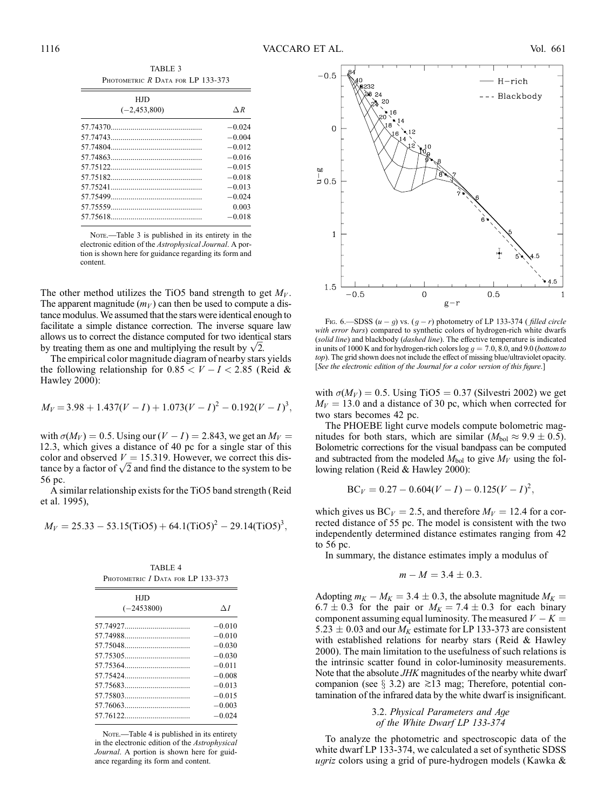| TABLE 3                           |  |  |  |
|-----------------------------------|--|--|--|
| PHOTOMETRIC R DATA FOR LP 133-373 |  |  |  |

| <b>HID</b>       |               |
|------------------|---------------|
| $(-2, 453, 800)$ | $\triangle R$ |
|                  | $-0.024$      |
|                  | $-0.004$      |
|                  | $-0.012$      |
|                  | $-0.016$      |
|                  | $-0.015$      |
|                  | $-0.018$      |
|                  | $-0.013$      |
|                  | $-0.024$      |
|                  | 0.003         |
|                  | $-0.018$      |

NOTE.—Table 3 is published in its entirety in the electronic edition of the Astrophysical Journal. A portion is shown here for guidance regarding its form and content.

The other method utilizes the TiO5 band strength to get  $M_V$ . The apparent magnitude  $(m_V)$  can then be used to compute a distance modulus. We assumed that the stars were identical enough to facilitate a simple distance correction. The inverse square law allows us to correct the distance computed for two identical stars allows us to correct the distance computed for two identic<br>by treating them as one and multiplying the result by  $\sqrt{2}$ .

The empirical color magnitude diagram of nearby stars yields the following relationship for  $0.85 < V - I < 2.85$  (Reid & Hawley 2000):

$$
M_V = 3.98 + 1.437(V - I) + 1.073(V - I)^2 - 0.192(V - I)^3,
$$

with  $\sigma(M_V) = 0.5$ . Using our  $(V - I) = 2.843$ , we get an  $M_V =$ 12:3, which gives a distance of 40 pc for a single star of this color and observed  $V = 15.319$ . However, we correct this discolor and observed  $V = 15.319$ . However, we correct this distance by a factor of  $\sqrt{2}$  and find the distance to the system to be 56 pc.

A similar relationship exists for the TiO5 band strength (Reid et al. 1995),

$$
M_V = 25.33 - 53.15 \text{(TiO5)} + 64.1 \text{(TiO5)}^2 - 29.14 \text{(TiO5)}^3,
$$

TABLE 4

| 1712LJ 2<br>PHOTOMETRIC I DATA FOR LP 133-373 |            |  |  |
|-----------------------------------------------|------------|--|--|
| HJD                                           |            |  |  |
| $(-2453800)$                                  | $\Delta I$ |  |  |
|                                               | $-0.010$   |  |  |
|                                               | $-0.010$   |  |  |
|                                               | $-0.030$   |  |  |
|                                               | $-0.030$   |  |  |
|                                               | $-0.011$   |  |  |
| 57.75424                                      | $-0.008$   |  |  |
|                                               | $-0.013$   |  |  |
|                                               | $-0.015$   |  |  |
|                                               | $-0.003$   |  |  |
|                                               | $-0.024$   |  |  |

NOTE.-Table 4 is published in its entirety in the electronic edition of the Astrophysical Journal. A portion is shown here for guidance regarding its form and content.



Fig. 6.—SDSS  $(u - q)$  vs.  $(q - r)$  photometry of LP 133-374 ( filled circle with error bars) compared to synthetic colors of hydrogen-rich white dwarfs (solid line) and blackbody (dashed line). The effective temperature is indicated in units of 1000 K and for hydrogen-rich colors log  $q = 7.0$ , 8.0, and 9.0 (*bottom to* top). The grid shown does not include the effect of missing blue/ultraviolet opacity. [See the electronic edition of the Journal for a color version of this figure.]

with  $\sigma(M_V) = 0.5$ . Using TiO5 = 0.37 (Silvestri 2002) we get  $M_V = 13.0$  and a distance of 30 pc, which when corrected for two stars becomes 42 pc.

The PHOEBE light curve models compute bolometric magnitudes for both stars, which are similar ( $M_{bol} \approx 9.9 \pm 0.5$ ). Bolometric corrections for the visual bandpass can be computed and subtracted from the modeled  $M_{bol}$  to give  $M_V$  using the following relation (Reid & Hawley 2000):

$$
BC_V = 0.27 - 0.604(V - I) - 0.125(V - I)^2,
$$

which gives us  $BC_V = 2.5$ , and therefore  $M_V = 12.4$  for a corrected distance of 55 pc. The model is consistent with the two independently determined distance estimates ranging from 42 to 56 pc.

In summary, the distance estimates imply a modulus of

$$
m-M=3.4\pm0.3.
$$

Adopting  $m_K - M_K = 3.4 \pm 0.3$ , the absolute magnitude  $M_K =$  $6.7 \pm 0.3$  for the pair or  $M_K = 7.4 \pm 0.3$  for each binary component assuming equal luminosity. The measured  $V - K =$ 5.23  $\pm$  0.03 and our  $M_K$  estimate for LP 133-373 are consistent with established relations for nearby stars (Reid & Hawley 2000). The main limitation to the usefulness of such relations is the intrinsic scatter found in color-luminosity measurements. Note that the absolute JHK magnitudes of the nearby white dwarf companion (see  $\S$  3.2) are  $\ge$ 13 mag; Therefore, potential contamination of the infrared data by the white dwarf is insignificant.

# 3.2. Physical Parameters and Age of the White Dwarf LP 133-374

To analyze the photometric and spectroscopic data of the white dwarf LP 133-374, we calculated a set of synthetic SDSS ugriz colors using a grid of pure-hydrogen models (Kawka &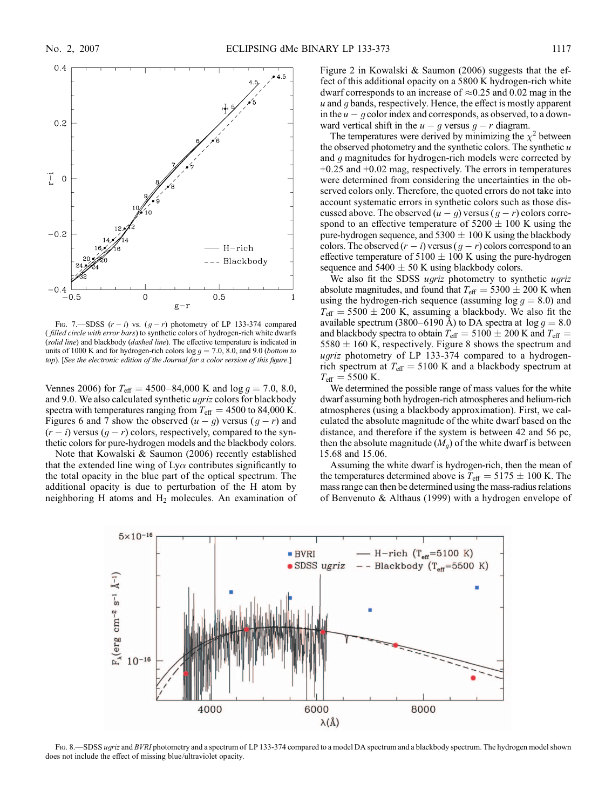

FIG. 7.—SDSS  $(r - i)$  vs.  $(g - r)$  photometry of LP 133-374 compared ( filled circle with error bars) to synthetic colors of hydrogen-rich white dwarfs (solid line) and blackbody (dashed line). The effective temperature is indicated in units of 1000 K and for hydrogen-rich colors  $log\ g = 7.0, 8.0,$  and 9.0 (bottom to top). [See the electronic edition of the Journal for a color version of this figure.]

Vennes 2006) for  $T_{\text{eff}} = 4500 - 84{,}000$  K and log  $g = 7.0$ , 8.0, and 9.0. We also calculated synthetic ugriz colors for blackbody spectra with temperatures ranging from  $T_{\text{eff}} = 4500$  to 84,000 K. Figures 6 and 7 show the observed  $(u - g)$  versus  $(g - r)$  and  $(r - i)$  versus  $(g - r)$  colors, respectively, compared to the synthetic colors for pure-hydrogen models and the blackbody colors.

Note that Kowalski & Saumon (2006) recently established that the extended line wing of  $Ly\alpha$  contributes significantly to the total opacity in the blue part of the optical spectrum. The additional opacity is due to perturbation of the H atom by neighboring H atoms and  $H_2$  molecules. An examination of Figure 2 in Kowalski & Saumon (2006) suggests that the effect of this additional opacity on a 5800 K hydrogen-rich white dwarf corresponds to an increase of  $\approx 0.25$  and 0.02 mag in the  $u$  and  $g$  bands, respectively. Hence, the effect is mostly apparent in the  $u - g$  color index and corresponds, as observed, to a downward vertical shift in the  $u - g$  versus  $g - r$  diagram.

The temperatures were derived by minimizing the  $\chi^2$  between the observed photometry and the synthetic colors. The synthetic  $u$ and g magnitudes for hydrogen-rich models were corrected by +0.25 and +0.02 mag, respectively. The errors in temperatures were determined from considering the uncertainties in the observed colors only. Therefore, the quoted errors do not take into account systematic errors in synthetic colors such as those discussed above. The observed  $(u - q)$  versus  $(q - r)$  colors correspond to an effective temperature of  $5200 \pm 100$  K using the pure-hydrogen sequence, and  $5300 \pm 100$  K using the blackbody colors. The observed  $(r - i)$  versus  $(q - r)$  colors correspond to an effective temperature of  $5100 \pm 100$  K using the pure-hydrogen sequence and  $5400 \pm 50$  K using blackbody colors.

We also fit the SDSS ugriz photometry to synthetic ugriz absolute magnitudes, and found that  $T_{\text{eff}} = 5300 \pm 200$  K when using the hydrogen-rich sequence (assuming  $log\ g = 8.0$ ) and  $T_{\text{eff}}$  = 5500  $\pm$  200 K, assuming a blackbody. We also fit the available spectrum (3800–6190 Å) to DA spectra at  $\log g = 8.0$ and blackbody spectra to obtain  $T_{\text{eff}} = 5100 \pm 200$  K and  $T_{\text{eff}} =$  $5580 \pm 160$  K, respectively. Figure 8 shows the spectrum and ugriz photometry of LP 133-374 compared to a hydrogenrich spectrum at  $T_{\text{eff}} = 5100 \text{ K}$  and a blackbody spectrum at  $T_{\text{eff}} = 5500 \text{ K}.$ 

We determined the possible range of mass values for the white dwarf assuming both hydrogen-rich atmospheres and helium-rich atmospheres (using a blackbody approximation). First, we calculated the absolute magnitude of the white dwarf based on the distance, and therefore if the system is between 42 and 56 pc, then the absolute magnitude  $(M_q)$  of the white dwarf is between 15.68 and 15.06.

Assuming the white dwarf is hydrogen-rich, then the mean of the temperatures determined above is  $T_{\text{eff}} = 5175 \pm 100 \text{ K}$ . The mass range can then be determined using the mass-radius relations of Benvenuto & Althaus (1999) with a hydrogen envelope of



FIG. 8.—SDSS ugriz and BVRI photometry and a spectrum of LP 133-374 compared to a model DA spectrum and a blackbody spectrum. The hydrogen model shown does not include the effect of missing blue/ultraviolet opacity.